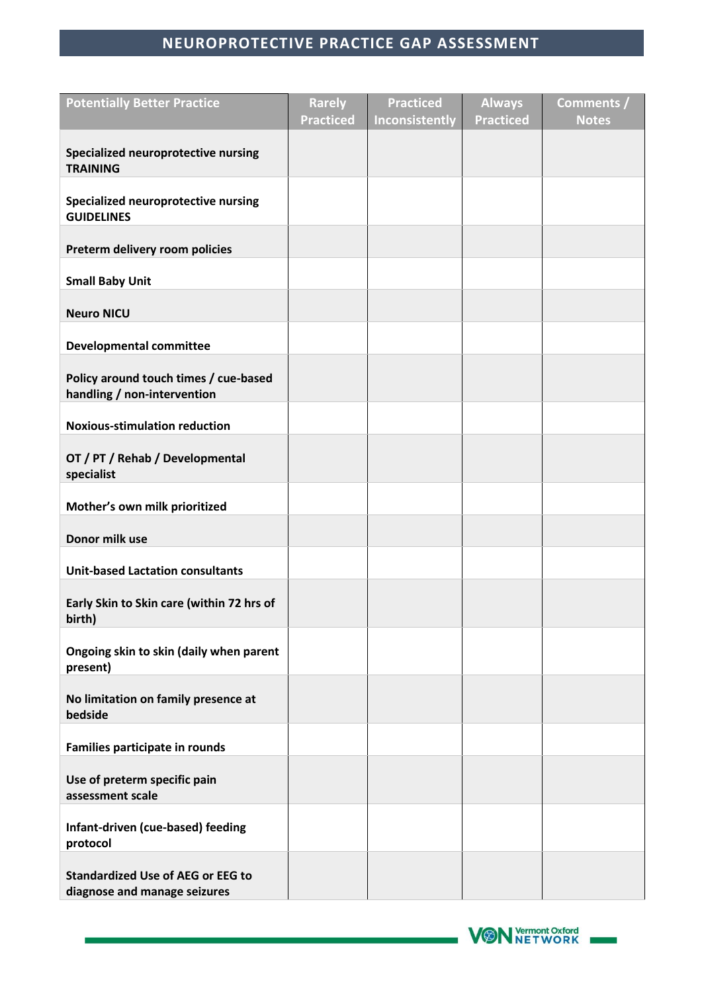## **NEUROPROTECTIVE PRACTICE GAP ASSESSMENT**

| <b>Potentially Better Practice</b>                                       | <b>Rarely</b>    | <b>Practiced</b> | <b>Always</b>    | Comments /   |
|--------------------------------------------------------------------------|------------------|------------------|------------------|--------------|
|                                                                          | <b>Practiced</b> | Inconsistently   | <b>Practiced</b> | <b>Notes</b> |
| Specialized neuroprotective nursing                                      |                  |                  |                  |              |
| <b>TRAINING</b>                                                          |                  |                  |                  |              |
|                                                                          |                  |                  |                  |              |
| Specialized neuroprotective nursing<br><b>GUIDELINES</b>                 |                  |                  |                  |              |
|                                                                          |                  |                  |                  |              |
| Preterm delivery room policies                                           |                  |                  |                  |              |
| <b>Small Baby Unit</b>                                                   |                  |                  |                  |              |
|                                                                          |                  |                  |                  |              |
| <b>Neuro NICU</b>                                                        |                  |                  |                  |              |
| <b>Developmental committee</b>                                           |                  |                  |                  |              |
| Policy around touch times / cue-based                                    |                  |                  |                  |              |
| handling / non-intervention                                              |                  |                  |                  |              |
|                                                                          |                  |                  |                  |              |
| <b>Noxious-stimulation reduction</b>                                     |                  |                  |                  |              |
| OT / PT / Rehab / Developmental<br>specialist                            |                  |                  |                  |              |
|                                                                          |                  |                  |                  |              |
| Mother's own milk prioritized                                            |                  |                  |                  |              |
| Donor milk use                                                           |                  |                  |                  |              |
| <b>Unit-based Lactation consultants</b>                                  |                  |                  |                  |              |
|                                                                          |                  |                  |                  |              |
| Early Skin to Skin care (within 72 hrs of<br>birth)                      |                  |                  |                  |              |
| Ongoing skin to skin (daily when parent                                  |                  |                  |                  |              |
| present)                                                                 |                  |                  |                  |              |
| No limitation on family presence at                                      |                  |                  |                  |              |
| bedside                                                                  |                  |                  |                  |              |
| Families participate in rounds                                           |                  |                  |                  |              |
| Use of preterm specific pain                                             |                  |                  |                  |              |
| assessment scale                                                         |                  |                  |                  |              |
| Infant-driven (cue-based) feeding<br>protocol                            |                  |                  |                  |              |
|                                                                          |                  |                  |                  |              |
| <b>Standardized Use of AEG or EEG to</b><br>diagnose and manage seizures |                  |                  |                  |              |